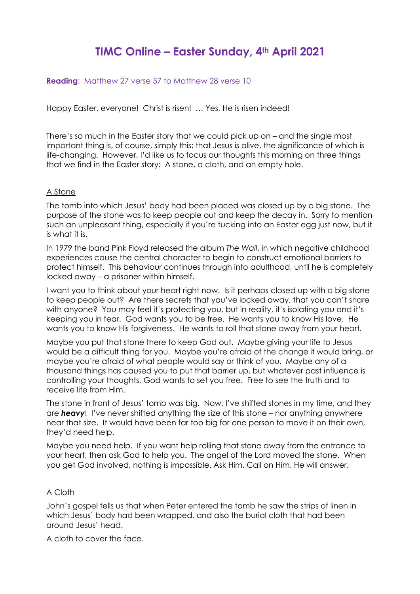## **TIMC Online – Easter Sunday, 4th April 2021**

**Reading:** Matthew 27 verse 57 to Matthew 28 verse 10

Happy Easter, everyone! Christ is risen! … Yes, He is risen indeed!

There's so much in the Easter story that we could pick up on – and the single most important thing is, of course, simply this: that Jesus is alive, the significance of which is life-changing. However, I'd like us to focus our thoughts this morning on three things that we find in the Easter story: A stone, a cloth, and an empty hole.

## A Stone

The tomb into which Jesus' body had been placed was closed up by a big stone. The purpose of the stone was to keep people out and keep the decay in. Sorry to mention such an unpleasant thing, especially if you're tucking into an Easter egg just now, but it is what it is.

In 1979 the band Pink Floyd released the album *The Wall*, in which negative childhood experiences cause the central character to begin to construct emotional barriers to protect himself. This behaviour continues through into adulthood, until he is completely locked away – a prisoner within himself.

I want you to think about your heart right now. Is it perhaps closed up with a big stone to keep people out? Are there secrets that you've locked away, that you can't share with anyone? You may feel it's protecting you, but in reality, it's isolating you and it's keeping you in fear. God wants you to be free. He wants you to know His love. He wants you to know His forgiveness. He wants to roll that stone away from your heart.

Maybe you put that stone there to keep God out. Maybe giving your life to Jesus would be a difficult thing for you. Maybe you're afraid of the change it would bring, or maybe you're afraid of what people would say or think of you. Maybe any of a thousand things has caused you to put that barrier up, but whatever past influence is controlling your thoughts, God wants to set you free. Free to see the truth and to receive life from Him.

The stone in front of Jesus' tomb was big. Now, I've shifted stones in my time, and they are *heavy*! I've never shifted anything the size of this stone – nor anything anywhere near that size. It would have been far too big for one person to move it on their own, they'd need help.

Maybe you need help. If you want help rolling that stone away from the entrance to your heart, then ask God to help you. The angel of the Lord moved the stone. When you get God involved, nothing is impossible. Ask Him. Call on Him. He will answer.

## A Cloth

John's gospel tells us that when Peter entered the tomb he saw the strips of linen in which Jesus' body had been wrapped, and also the burial cloth that had been around Jesus' head.

A cloth to cover the face.